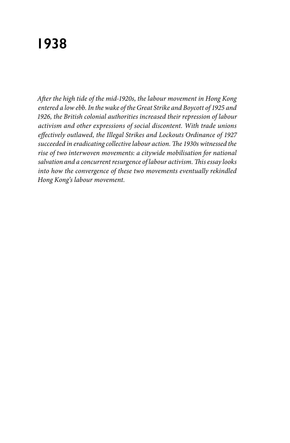# **1938**

*After the high tide of the mid-1920s, the labour movement in Hong Kong entered a low ebb. In the wake of the Great Strike and Boycott of 1925 and 1926, the British colonial authorities increased their repression of labour activism and other expressions of social discontent. With trade unions effectively outlawed, the Illegal Strikes and Lockouts Ordinance of 1927 succeeded in eradicating collective labour action. The 1930s witnessed the rise of two interwoven movements: a citywide mobilisation for national salvation and a concurrent resurgence of labour activism. This essay looks into how the convergence of these two movements eventually rekindled Hong Kong's labour movement.*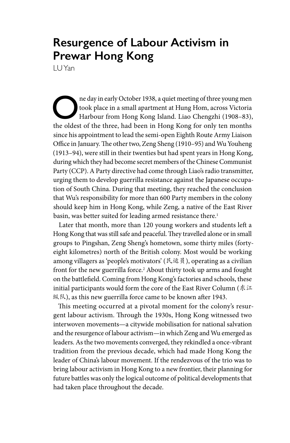## **Resurgence of Labour Activism in Prewar Hong Kong**

LU Yan

The day in early October 1938, a quiet meeting of three young men<br>
took place in a small apartment at Hung Hom, across Victoria<br>
Harbour from Hong Kong Island. Liao Chengzhi (1908–83),<br>
the oldest of the three had been in took place in a small apartment at Hung Hom, across Victoria the oldest of the three, had been in Hong Kong for only ten months since his appointment to lead the semi-open Eighth Route Army Liaison Office in January. The other two, Zeng Sheng (1910–95) and Wu Youheng (1913–94), were still in their twenties but had spent years in Hong Kong, during which they had become secret members of the Chinese Communist Party (CCP). A Party directive had come through Liao's radio transmitter, urging them to develop guerrilla resistance against the Japanese occupation of South China. During that meeting, they reached the conclusion that Wu's responsibility for more than 600 Party members in the colony should keep him in Hong Kong, while Zeng, a native of the East River basin, was better suited for leading armed resistance there.<sup>1</sup>

Later that month, more than 120 young workers and students left a Hong Kong that was still safe and peaceful. They travelled alone or in small groups to Pingshan, Zeng Sheng's hometown, some thirty miles (fortyeight kilometres) north of the British colony. Most would be working among villagers as 'people's motivators' (民运员), operating as a civilian front for the new guerrilla force.2 About thirty took up arms and fought on the battlefield. Coming from Hong Kong's factories and schools, these initial participants would form the core of the East River Column (东江 纵队), as this new guerrilla force came to be known after 1943.

This meeting occurred at a pivotal moment for the colony's resurgent labour activism. Through the 1930s, Hong Kong witnessed two interwoven movements—a citywide mobilisation for national salvation and the resurgence of labour activism—in which Zeng and Wu emerged as leaders. As the two movements converged, they rekindled a once-vibrant tradition from the previous decade, which had made Hong Kong the leader of China's labour movement. If the rendezvous of the trio was to bring labour activism in Hong Kong to a new frontier, their planning for future battles was only the logical outcome of political developments that had taken place throughout the decade.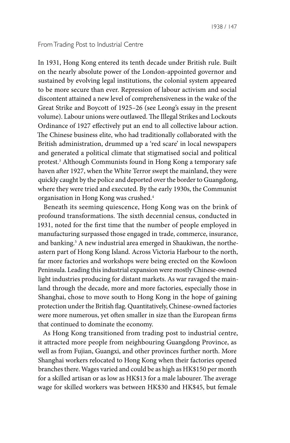#### From Trading Post to Industrial Centre

In 1931, Hong Kong entered its tenth decade under British rule. Built on the nearly absolute power of the London-appointed governor and sustained by evolving legal institutions, the colonial system appeared to be more secure than ever. Repression of labour activism and social discontent attained a new level of comprehensiveness in the wake of the Great Strike and Boycott of 1925–26 (see Leong's essay in the present volume). Labour unions were outlawed. The Illegal Strikes and Lockouts Ordinance of 1927 effectively put an end to all collective labour action. The Chinese business elite, who had traditionally collaborated with the British administration, drummed up a 'red scare' in local newspapers and generated a political climate that stigmatised social and political protest.3 Although Communists found in Hong Kong a temporary safe haven after 1927, when the White Terror swept the mainland, they were quickly caught by the police and deported over the border to Guangdong, where they were tried and executed. By the early 1930s, the Communist organisation in Hong Kong was crushed.4

Beneath its seeming quiescence, Hong Kong was on the brink of profound transformations. The sixth decennial census, conducted in 1931, noted for the first time that the number of people employed in manufacturing surpassed those engaged in trade, commerce, insurance, and banking.<sup>5</sup> A new industrial area emerged in Shaukiwan, the northeastern part of Hong Kong Island. Across Victoria Harbour to the north, far more factories and workshops were being erected on the Kowloon Peninsula. Leading this industrial expansion were mostly Chinese-owned light industries producing for distant markets. As war ravaged the mainland through the decade, more and more factories, especially those in Shanghai, chose to move south to Hong Kong in the hope of gaining protection under the British flag. Quantitatively, Chinese-owned factories were more numerous, yet often smaller in size than the European firms that continued to dominate the economy.

As Hong Kong transitioned from trading post to industrial centre, it attracted more people from neighbouring Guangdong Province, as well as from Fujian, Guangxi, and other provinces further north. More Shanghai workers relocated to Hong Kong when their factories opened branches there. Wages varied and could be as high as HK\$150 per month for a skilled artisan or as low as HK\$13 for a male labourer. The average wage for skilled workers was between HK\$30 and HK\$45, but female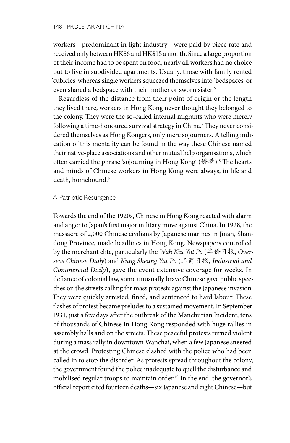workers—predominant in light industry—were paid by piece rate and received only between HK\$6 and HK\$15 a month. Since a large proportion of their income had to be spent on food, nearly all workers had no choice but to live in subdivided apartments. Usually, those with family rented 'cubicles' whereas single workers squeezed themselves into 'bedspaces' or even shared a bedspace with their mother or sworn sister.<sup>6</sup>

Regardless of the distance from their point of origin or the length they lived there, workers in Hong Kong never thought they belonged to the colony. They were the so-called internal migrants who were merely following a time-honoured survival strategy in China.7 They never considered themselves as Hong Kongers, only mere sojourners. A telling indication of this mentality can be found in the way these Chinese named their native-place associations and other mutual help organisations, which often carried the phrase 'sojourning in Hong Kong' (侨港).8 The hearts and minds of Chinese workers in Hong Kong were always, in life and death, homebound.9

#### A Patriotic Resurgence

Towards the end of the 1920s, Chinese in Hong Kong reacted with alarm and anger to Japan's first major military move against China. In 1928, the massacre of 2,000 Chinese civilians by Japanese marines in Jinan, Shandong Province, made headlines in Hong Kong. Newspapers controlled by the merchant elite, particularly the *Wah Kiu Yat Po* (华侨日报, *Overseas Chinese Daily*) and *Kung Sheung Yat Po* (工商日报, *Industrial and Commercial Daily*), gave the event extensive coverage for weeks. In defiance of colonial law, some unusually brave Chinese gave public speeches on the streets calling for mass protests against the Japanese invasion. They were quickly arrested, fined, and sentenced to hard labour. These flashes of protest became preludes to a sustained movement. In September 1931, just a few days after the outbreak of the Manchurian Incident, tens of thousands of Chinese in Hong Kong responded with huge rallies in assembly halls and on the streets. These peaceful protests turned violent during a mass rally in downtown Wanchai, when a few Japanese sneered at the crowd. Protesting Chinese clashed with the police who had been called in to stop the disorder. As protests spread throughout the colony, the government found the police inadequate to quell the disturbance and mobilised regular troops to maintain order.<sup>10</sup> In the end, the governor's official report cited fourteen deaths—six Japanese and eight Chinese—but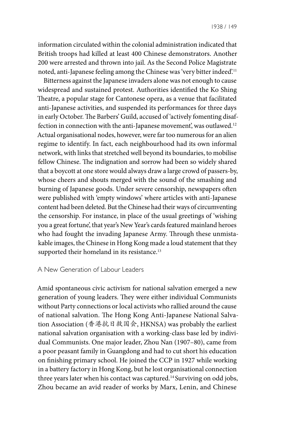information circulated within the colonial administration indicated that British troops had killed at least 400 Chinese demonstrators. Another 200 were arrested and thrown into jail. As the Second Police Magistrate noted, anti-Japanese feeling among the Chinese was 'very bitter indeed'.11

Bitterness against the Japanese invaders alone was not enough to cause widespread and sustained protest. Authorities identified the Ko Shing Theatre, a popular stage for Cantonese opera, as a venue that facilitated anti-Japanese activities, and suspended its performances for three days in early October. The Barbers' Guild, accused of 'actively fomenting disaffection in connection with the anti-Japanese movement', was outlawed.<sup>12</sup> Actual organisational nodes, however, were far too numerous for an alien regime to identify. In fact, each neighbourhood had its own informal network, with links that stretched well beyond its boundaries, to mobilise fellow Chinese. The indignation and sorrow had been so widely shared that a boycott at one store would always draw a large crowd of passers-by, whose cheers and shouts merged with the sound of the smashing and burning of Japanese goods. Under severe censorship, newspapers often were published with 'empty windows' where articles with anti-Japanese content had been deleted. But the Chinese had their ways of circumventing the censorship. For instance, in place of the usual greetings of 'wishing you a great fortune', that year's New Year's cards featured mainland heroes who had fought the invading Japanese Army. Through these unmistakable images, the Chinese in Hong Kong made a loud statement that they supported their homeland in its resistance.<sup>13</sup>

#### A New Generation of Labour Leaders

Amid spontaneous civic activism for national salvation emerged a new generation of young leaders. They were either individual Communists without Party connections or local activists who rallied around the cause of national salvation. The Hong Kong Anti-Japanese National Salvation Association (香港抗日救国会, HKNSA) was probably the earliest national salvation organisation with a working-class base led by individual Communists. One major leader, Zhou Nan (1907–80), came from a poor peasant family in Guangdong and had to cut short his education on finishing primary school. He joined the CCP in 1927 while working in a battery factory in Hong Kong, but he lost organisational connection three years later when his contact was captured.<sup>14</sup> Surviving on odd jobs, Zhou became an avid reader of works by Marx, Lenin, and Chinese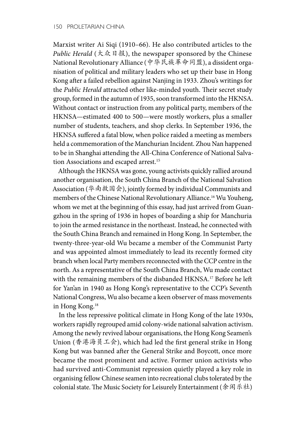Marxist writer Ai Siqi (1910–66). He also contributed articles to the *Public Herald* (大众日报), the newspaper sponsored by the Chinese National Revolutionary Alliance (中华民族革命同盟), a dissident organisation of political and military leaders who set up their base in Hong Kong after a failed rebellion against Nanjing in 1933. Zhou's writings for the *Public Herald* attracted other like-minded youth. Their secret study group, formed in the autumn of 1935, soon transformed into the HKNSA. Without contact or instruction from any political party, members of the HKNSA—estimated 400 to 500—were mostly workers, plus a smaller number of students, teachers, and shop clerks. In September 1936, the HKNSA suffered a fatal blow, when police raided a meeting as members held a commemoration of the Manchurian Incident. Zhou Nan happened to be in Shanghai attending the All-China Conference of National Salvation Associations and escaped arrest.<sup>15</sup>

Although the HKNSA was gone, young activists quickly rallied around another organisation, the South China Branch of the National Salvation Association (华南救国会), jointly formed by individual Communists and members of the Chinese National Revolutionary Alliance.<sup>16</sup> Wu Youheng, whom we met at the beginning of this essay, had just arrived from Guangzhou in the spring of 1936 in hopes of boarding a ship for Manchuria to join the armed resistance in the northeast. Instead, he connected with the South China Branch and remained in Hong Kong. In September, the twenty-three-year-old Wu became a member of the Communist Party and was appointed almost immediately to lead its recently formed city branch when local Party members reconnected with the CCP centre in the north. As a representative of the South China Branch, Wu made contact with the remaining members of the disbanded HKNSA.<sup>17</sup> Before he left for Yan'an in 1940 as Hong Kong's representative to the CCP's Seventh National Congress, Wu also became a keen observer of mass movements in Hong Kong.18

In the less repressive political climate in Hong Kong of the late 1930s, workers rapidly regrouped amid colony-wide national salvation activism. Among the newly revived labour organisations, the Hong Kong Seamen's Union (香港海员工会), which had led the first general strike in Hong Kong but was banned after the General Strike and Boycott, once more became the most prominent and active. Former union activists who had survived anti-Communist repression quietly played a key role in organising fellow Chinese seamen into recreational clubs tolerated by the colonial state. The Music Society for Leisurely Entertainment (余闲乐社)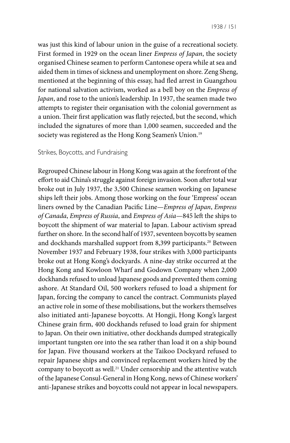was just this kind of labour union in the guise of a recreational society. First formed in 1929 on the ocean liner *Empress of Japan*, the society organised Chinese seamen to perform Cantonese opera while at sea and aided them in times of sickness and unemployment on shore. Zeng Sheng, mentioned at the beginning of this essay, had fled arrest in Guangzhou for national salvation activism, worked as a bell boy on the *Empress of Japan*, and rose to the union's leadership. In 1937, the seamen made two attempts to register their organisation with the colonial government as a union. Their first application was flatly rejected, but the second, which included the signatures of more than 1,000 seamen, succeeded and the society was registered as the Hong Kong Seamen's Union.<sup>19</sup>

### Strikes, Boycotts, and Fundraising

Regrouped Chinese labour in Hong Kong was again at the forefront of the effort to aid China's struggle against foreign invasion. Soon after total war broke out in July 1937, the 3,500 Chinese seamen working on Japanese ships left their jobs. Among those working on the four 'Empress' ocean liners owned by the Canadian Pacific Line—*Empress of Japan*, *Empress of Canada*, *Empress of Russia*, and *Empress of Asia*—845 left the ships to boycott the shipment of war material to Japan. Labour activism spread further on shore. In the second half of 1937, seventeen boycotts by seamen and dockhands marshalled support from 8,399 participants.<sup>20</sup> Between November 1937 and February 1938, four strikes with 3,000 participants broke out at Hong Kong's dockyards. A nine-day strike occurred at the Hong Kong and Kowloon Wharf and Godown Company when 2,000 dockhands refused to unload Japanese goods and prevented them coming ashore. At Standard Oil, 500 workers refused to load a shipment for Japan, forcing the company to cancel the contract. Communists played an active role in some of these mobilisations, but the workers themselves also initiated anti-Japanese boycotts. At Hongji, Hong Kong's largest Chinese grain firm, 400 dockhands refused to load grain for shipment to Japan. On their own initiative, other dockhands dumped strategically important tungsten ore into the sea rather than load it on a ship bound for Japan. Five thousand workers at the Taikoo Dockyard refused to repair Japanese ships and convinced replacement workers hired by the company to boycott as well.<sup>21</sup> Under censorship and the attentive watch of the Japanese Consul-General in Hong Kong, news of Chinese workers' anti-Japanese strikes and boycotts could not appear in local newspapers.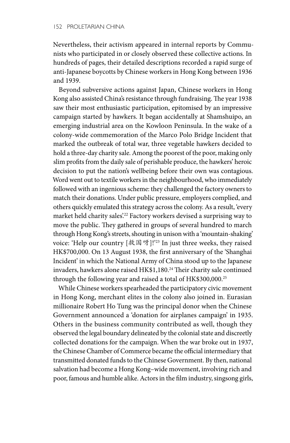Nevertheless, their activism appeared in internal reports by Communists who participated in or closely observed these collective actions. In hundreds of pages, their detailed descriptions recorded a rapid surge of anti-Japanese boycotts by Chinese workers in Hong Kong between 1936 and 1939.

Beyond subversive actions against Japan, Chinese workers in Hong Kong also assisted China's resistance through fundraising. The year 1938 saw their most enthusiastic participation, epitomised by an impressive campaign started by hawkers. It began accidentally at Shamshuipo, an emerging industrial area on the Kowloon Peninsula. In the wake of a colony-wide commemoration of the Marco Polo Bridge Incident that marked the outbreak of total war, three vegetable hawkers decided to hold a three-day charity sale. Among the poorest of the poor, making only slim profits from the daily sale of perishable produce, the hawkers' heroic decision to put the nation's wellbeing before their own was contagious. Word went out to textile workers in the neighbourhood, who immediately followed with an ingenious scheme: they challenged the factory owners to match their donations. Under public pressure, employers complied, and others quickly emulated this strategy across the colony. As a result, 'every market held charity sales'.<sup>22</sup> Factory workers devised a surprising way to move the public. They gathered in groups of several hundred to march through Hong Kong's streets, shouting in unison with a 'mountain-shaking' voice: 'Help our country [救国呀]!'23 In just three weeks, they raised HK\$700,000. On 13 August 1938, the first anniversary of the 'Shanghai Incident' in which the National Army of China stood up to the Japanese invaders, hawkers alone raised HK\$1,180.<sup>24</sup> Their charity sale continued through the following year and raised a total of HK\$300,000.<sup>25</sup>

While Chinese workers spearheaded the participatory civic movement in Hong Kong, merchant elites in the colony also joined in. Eurasian millionaire Robert Ho Tung was the principal donor when the Chinese Government announced a 'donation for airplanes campaign' in 1935. Others in the business community contributed as well, though they observed the legal boundary delineated by the colonial state and discreetly collected donations for the campaign. When the war broke out in 1937, the Chinese Chamber of Commerce became the official intermediary that transmitted donated funds to the Chinese Government. By then, national salvation had become a Hong Kong–wide movement, involving rich and poor, famous and humble alike. Actors in the film industry, singsong girls,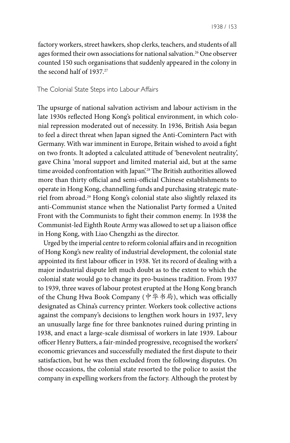factory workers, street hawkers, shop clerks, teachers, and students of all ages formed their own associations for national salvation.<sup>26</sup> One observer counted 150 such organisations that suddenly appeared in the colony in the second half of 1937.<sup>27</sup>

#### The Colonial State Steps into Labour Affairs

The upsurge of national salvation activism and labour activism in the late 1930s reflected Hong Kong's political environment, in which colonial repression moderated out of necessity. In 1936, British Asia began to feel a direct threat when Japan signed the Anti-Comintern Pact with Germany. With war imminent in Europe, Britain wished to avoid a fight on two fronts. It adopted a calculated attitude of 'benevolent neutrality', gave China 'moral support and limited material aid, but at the same time avoided confrontation with Japan<sup>228</sup> The British authorities allowed more than thirty official and semi-official Chinese establishments to operate in Hong Kong, channelling funds and purchasing strategic materiel from abroad.29 Hong Kong's colonial state also slightly relaxed its anti-Communist stance when the Nationalist Party formed a United Front with the Communists to fight their common enemy. In 1938 the Communist-led Eighth Route Army was allowed to set up a liaison office in Hong Kong, with Liao Chengzhi as the director.

Urged by the imperial centre to reform colonial affairs and in recognition of Hong Kong's new reality of industrial development, the colonial state appointed its first labour officer in 1938. Yet its record of dealing with a major industrial dispute left much doubt as to the extent to which the colonial state would go to change its pro-business tradition. From 1937 to 1939, three waves of labour protest erupted at the Hong Kong branch of the Chung Hwa Book Company (中华书局), which was officially designated as China's currency printer. Workers took collective actions against the company's decisions to lengthen work hours in 1937, levy an unusually large fine for three banknotes ruined during printing in 1938, and enact a large-scale dismissal of workers in late 1939. Labour officer Henry Butters, a fair-minded progressive, recognised the workers' economic grievances and successfully mediated the first dispute to their satisfaction, but he was then excluded from the following disputes. On those occasions, the colonial state resorted to the police to assist the company in expelling workers from the factory. Although the protest by